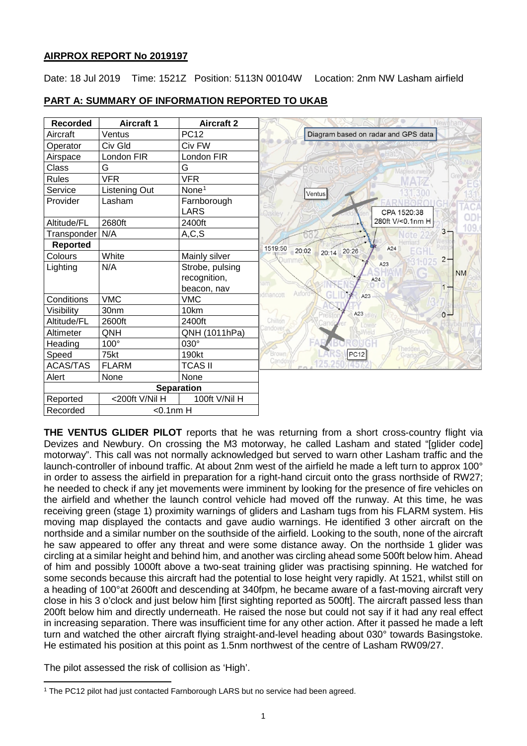### **AIRPROX REPORT No 2019197**

Date: 18 Jul 2019 Time: 1521Z Position: 5113N 00104W Location: 2nm NW Lasham airfield

| <b>Recorded</b> | <b>Aircraft 1</b> | <b>Aircraft 2</b> | Newtham                             |
|-----------------|-------------------|-------------------|-------------------------------------|
| Aircraft        | Ventus            | <b>PC12</b>       | Diagram based on radar and GPS data |
| Operator        | Civ Gld           | Civ FW            |                                     |
| Airspace        | London FIR        | London FIR        |                                     |
| Class           | G                 | G                 | <b>BASINGSTOK</b><br>Mapledurwell   |
| <b>Rules</b>    | <b>VFR</b>        | <b>VFR</b>        |                                     |
| Service         | Listening Out     | None <sup>1</sup> | Ventus                              |
| Provider        | Lasham            | Farnborough       |                                     |
|                 |                   | <b>LARS</b>       | CPA 1520:38<br><b>Dakley</b>        |
| Altitude/FL     | 2680ft            | 2400ft            | 280ft V/<0.1nm H                    |
| Transponder     | N/A               | A, C, S           | $3 -$                               |
| <b>Reported</b> |                   |                   | 1519:50<br>A24<br>20:02             |
| Colours         | White             | Mainly silver     | 20:14 20:26<br>$2 -$<br>ummer       |
| Lighting        | N/A               | Strobe, pulsing   | A23<br><b>NM</b>                    |
|                 |                   | recognition,      | A24<br>$am -$                       |
|                 |                   | beacon, nav       | $1 -$<br>Axford<br>Imancott         |
| Conditions      | <b>VMC</b>        | <b>VMC</b>        | GH<br>A23                           |
| Visibility      | 30nm              | 10km              | A23<br>$0 -$                        |
| Altitude/FL     | 2600ft            | 2400ft            | Chilton<br>Lower                    |
| Altimeter       | QNH               | QNH (1011hPa)     | andover                             |
| Heading         | $100^\circ$       | $030^\circ$       | Thedden                             |
| Speed           | 75kt              | 190kt             | Brown/<br>PC12<br>Grange            |
| <b>ACAS/TAS</b> | <b>FLARM</b>      | <b>TCAS II</b>    | Candove                             |
| Alert           | None              | None              |                                     |
|                 |                   | <b>Separation</b> |                                     |
| Reported        | <200ft V/Nil H    | 100ft V/Nil H     |                                     |
| Recorded        | $<$ 0.1nm H       |                   |                                     |

# **PART A: SUMMARY OF INFORMATION REPORTED TO UKAB**

**THE VENTUS GLIDER PILOT** reports that he was returning from a short cross-country flight via Devizes and Newbury. On crossing the M3 motorway, he called Lasham and stated "[glider code] motorway". This call was not normally acknowledged but served to warn other Lasham traffic and the launch-controller of inbound traffic. At about 2nm west of the airfield he made a left turn to approx 100° in order to assess the airfield in preparation for a right-hand circuit onto the grass northside of RW27; he needed to check if any jet movements were imminent by looking for the presence of fire vehicles on the airfield and whether the launch control vehicle had moved off the runway. At this time, he was receiving green (stage 1) proximity warnings of gliders and Lasham tugs from his FLARM system. His moving map displayed the contacts and gave audio warnings. He identified 3 other aircraft on the northside and a similar number on the southside of the airfield. Looking to the south, none of the aircraft he saw appeared to offer any threat and were some distance away. On the northside 1 glider was circling at a similar height and behind him, and another was circling ahead some 500ft below him. Ahead of him and possibly 1000ft above a two-seat training glider was practising spinning. He watched for some seconds because this aircraft had the potential to lose height very rapidly. At 1521, whilst still on a heading of 100°at 2600ft and descending at 340fpm, he became aware of a fast-moving aircraft very close in his 3 o'clock and just below him [first sighting reported as 500ft]. The aircraft passed less than 200ft below him and directly underneath. He raised the nose but could not say if it had any real effect in increasing separation. There was insufficient time for any other action. After it passed he made a left turn and watched the other aircraft flying straight-and-level heading about 030° towards Basingstoke. He estimated his position at this point as 1.5nm northwest of the centre of Lasham RW09/27.

The pilot assessed the risk of collision as 'High'.

<span id="page-0-0"></span>l <sup>1</sup> The PC12 pilot had just contacted Farnborough LARS but no service had been agreed.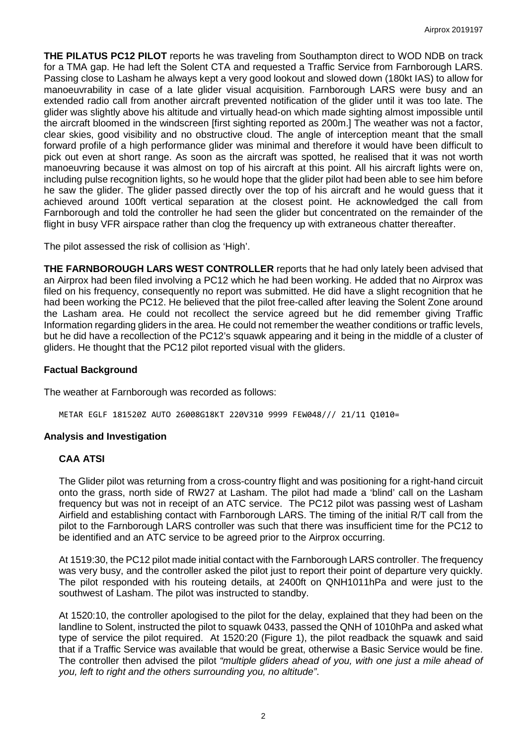**THE PILATUS PC12 PILOT** reports he was traveling from Southampton direct to WOD NDB on track for a TMA gap. He had left the Solent CTA and requested a Traffic Service from Farnborough LARS. Passing close to Lasham he always kept a very good lookout and slowed down (180kt IAS) to allow for manoeuvrability in case of a late glider visual acquisition. Farnborough LARS were busy and an extended radio call from another aircraft prevented notification of the glider until it was too late. The glider was slightly above his altitude and virtually head-on which made sighting almost impossible until the aircraft bloomed in the windscreen [first sighting reported as 200m.] The weather was not a factor, clear skies, good visibility and no obstructive cloud. The angle of interception meant that the small forward profile of a high performance glider was minimal and therefore it would have been difficult to pick out even at short range. As soon as the aircraft was spotted, he realised that it was not worth manoeuvring because it was almost on top of his aircraft at this point. All his aircraft lights were on, including pulse recognition lights, so he would hope that the glider pilot had been able to see him before he saw the glider. The glider passed directly over the top of his aircraft and he would guess that it achieved around 100ft vertical separation at the closest point. He acknowledged the call from Farnborough and told the controller he had seen the glider but concentrated on the remainder of the flight in busy VFR airspace rather than clog the frequency up with extraneous chatter thereafter.

The pilot assessed the risk of collision as 'High'.

**THE FARNBOROUGH LARS WEST CONTROLLER** reports that he had only lately been advised that an Airprox had been filed involving a PC12 which he had been working. He added that no Airprox was filed on his frequency, consequently no report was submitted. He did have a slight recognition that he had been working the PC12. He believed that the pilot free-called after leaving the Solent Zone around the Lasham area. He could not recollect the service agreed but he did remember giving Traffic Information regarding gliders in the area. He could not remember the weather conditions or traffic levels, but he did have a recollection of the PC12's squawk appearing and it being in the middle of a cluster of gliders. He thought that the PC12 pilot reported visual with the gliders.

### **Factual Background**

The weather at Farnborough was recorded as follows:

METAR EGLF 181520Z AUTO 26008G18KT 220V310 9999 FEW048/// 21/11 Q1010=

### **Analysis and Investigation**

### **CAA ATSI**

The Glider pilot was returning from a cross-country flight and was positioning for a right-hand circuit onto the grass, north side of RW27 at Lasham. The pilot had made a 'blind' call on the Lasham frequency but was not in receipt of an ATC service. The PC12 pilot was passing west of Lasham Airfield and establishing contact with Farnborough LARS. The timing of the initial R/T call from the pilot to the Farnborough LARS controller was such that there was insufficient time for the PC12 to be identified and an ATC service to be agreed prior to the Airprox occurring.

At 1519:30, the PC12 pilot made initial contact with the Farnborough LARS controller. The frequency was very busy, and the controller asked the pilot just to report their point of departure very quickly. The pilot responded with his routeing details, at 2400ft on QNH1011hPa and were just to the southwest of Lasham. The pilot was instructed to standby.

At 1520:10, the controller apologised to the pilot for the delay, explained that they had been on the landline to Solent, instructed the pilot to squawk 0433, passed the QNH of 1010hPa and asked what type of service the pilot required. At 1520:20 (Figure 1), the pilot readback the squawk and said that if a Traffic Service was available that would be great, otherwise a Basic Service would be fine. The controller then advised the pilot *"multiple gliders ahead of you, with one just a mile ahead of you, left to right and the others surrounding you, no altitude"*.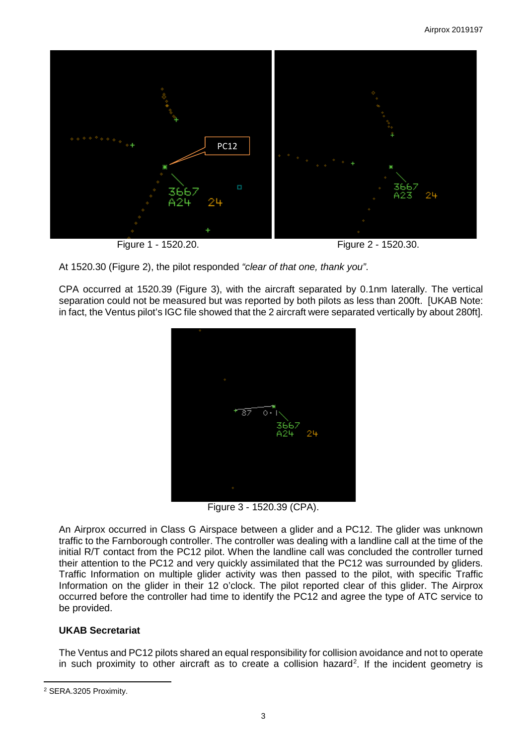

CPA occurred at 1520.39 (Figure 3), with the aircraft separated by 0.1nm laterally. The vertical separation could not be measured but was reported by both pilots as less than 200ft. [UKAB Note: in fact, the Ventus pilot's IGC file showed that the 2 aircraft were separated vertically by about 280ft].



Figure 3 - 1520.39 (CPA).

An Airprox occurred in Class G Airspace between a glider and a PC12. The glider was unknown traffic to the Farnborough controller. The controller was dealing with a landline call at the time of the initial R/T contact from the PC12 pilot. When the landline call was concluded the controller turned their attention to the PC12 and very quickly assimilated that the PC12 was surrounded by gliders. Traffic Information on multiple glider activity was then passed to the pilot, with specific Traffic Information on the glider in their 12 o'clock. The pilot reported clear of this glider. The Airprox occurred before the controller had time to identify the PC12 and agree the type of ATC service to be provided.

# **UKAB Secretariat**

The Ventus and PC12 pilots shared an equal responsibility for collision avoidance and not to operate in such proximity to other aircraft as to create a collision hazard<sup>[2](#page-2-0)</sup>. If the incident geometry is

At 1520.30 (Figure 2), the pilot responded *"clear of that one, thank you"*.

<span id="page-2-0"></span>l <sup>2</sup> SERA.3205 Proximity.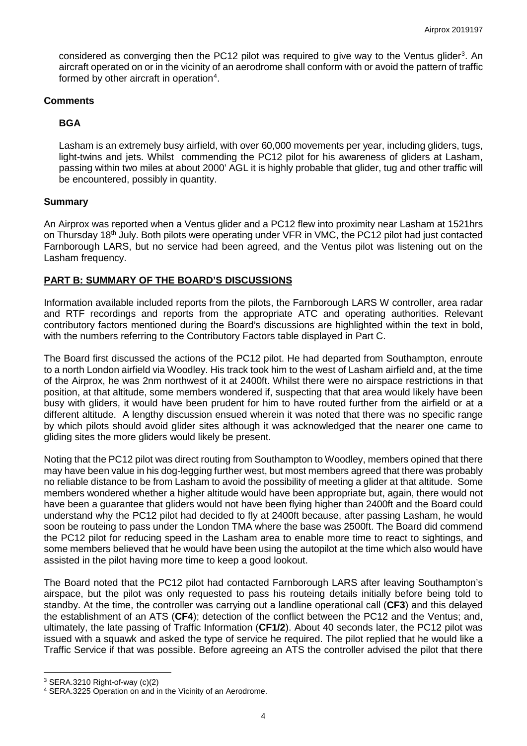considered as converging then the PC12 pilot was required to give way to the Ventus glider<sup>[3](#page-3-0)</sup>. An aircraft operated on or in the vicinity of an aerodrome shall conform with or avoid the pattern of traffic formed by other aircraft in operation<sup>[4](#page-3-1)</sup>.

### **Comments**

# **BGA**

Lasham is an extremely busy airfield, with over 60,000 movements per year, including gliders, tugs, light-twins and jets. Whilst commending the PC12 pilot for his awareness of gliders at Lasham, passing within two miles at about 2000' AGL it is highly probable that glider, tug and other traffic will be encountered, possibly in quantity.

### **Summary**

An Airprox was reported when a Ventus glider and a PC12 flew into proximity near Lasham at 1521hrs on Thursday 18<sup>th</sup> July. Both pilots were operating under VFR in VMC, the PC12 pilot had just contacted Farnborough LARS, but no service had been agreed, and the Ventus pilot was listening out on the Lasham frequency.

## **PART B: SUMMARY OF THE BOARD'S DISCUSSIONS**

Information available included reports from the pilots, the Farnborough LARS W controller, area radar and RTF recordings and reports from the appropriate ATC and operating authorities. Relevant contributory factors mentioned during the Board's discussions are highlighted within the text in bold, with the numbers referring to the Contributory Factors table displayed in Part C.

The Board first discussed the actions of the PC12 pilot. He had departed from Southampton, enroute to a north London airfield via Woodley. His track took him to the west of Lasham airfield and, at the time of the Airprox, he was 2nm northwest of it at 2400ft. Whilst there were no airspace restrictions in that position, at that altitude, some members wondered if, suspecting that that area would likely have been busy with gliders, it would have been prudent for him to have routed further from the airfield or at a different altitude. A lengthy discussion ensued wherein it was noted that there was no specific range by which pilots should avoid glider sites although it was acknowledged that the nearer one came to gliding sites the more gliders would likely be present.

Noting that the PC12 pilot was direct routing from Southampton to Woodley, members opined that there may have been value in his dog-legging further west, but most members agreed that there was probably no reliable distance to be from Lasham to avoid the possibility of meeting a glider at that altitude. Some members wondered whether a higher altitude would have been appropriate but, again, there would not have been a guarantee that gliders would not have been flying higher than 2400ft and the Board could understand why the PC12 pilot had decided to fly at 2400ft because, after passing Lasham, he would soon be routeing to pass under the London TMA where the base was 2500ft. The Board did commend the PC12 pilot for reducing speed in the Lasham area to enable more time to react to sightings, and some members believed that he would have been using the autopilot at the time which also would have assisted in the pilot having more time to keep a good lookout.

The Board noted that the PC12 pilot had contacted Farnborough LARS after leaving Southampton's airspace, but the pilot was only requested to pass his routeing details initially before being told to standby. At the time, the controller was carrying out a landline operational call (**CF3**) and this delayed the establishment of an ATS (**CF4**); detection of the conflict between the PC12 and the Ventus; and, ultimately, the late passing of Traffic Information (**CF1/2**). About 40 seconds later, the PC12 pilot was issued with a squawk and asked the type of service he required. The pilot replied that he would like a Traffic Service if that was possible. Before agreeing an ATS the controller advised the pilot that there

 $\overline{\phantom{a}}$ 

<span id="page-3-1"></span><span id="page-3-0"></span> $3$  SERA.3210 Right-of-way (c)(2)<br> $4$  SERA.3225 Operation on and in the Vicinity of an Aerodrome.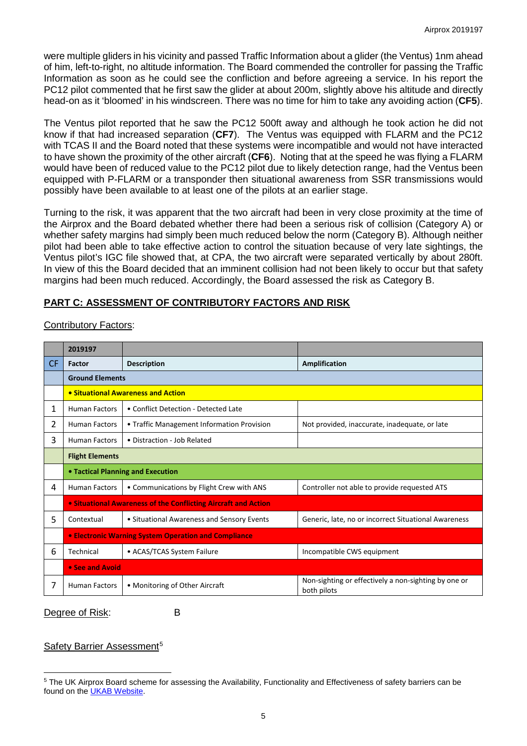were multiple gliders in his vicinity and passed Traffic Information about a glider (the Ventus) 1nm ahead of him, left-to-right, no altitude information. The Board commended the controller for passing the Traffic Information as soon as he could see the confliction and before agreeing a service. In his report the PC12 pilot commented that he first saw the glider at about 200m, slightly above his altitude and directly head-on as it 'bloomed' in his windscreen. There was no time for him to take any avoiding action (**CF5**).

The Ventus pilot reported that he saw the PC12 500ft away and although he took action he did not know if that had increased separation (**CF7**). The Ventus was equipped with FLARM and the PC12 with TCAS II and the Board noted that these systems were incompatible and would not have interacted to have shown the proximity of the other aircraft (**CF6**). Noting that at the speed he was flying a FLARM would have been of reduced value to the PC12 pilot due to likely detection range, had the Ventus been equipped with P-FLARM or a transponder then situational awareness from SSR transmissions would possibly have been available to at least one of the pilots at an earlier stage.

Turning to the risk, it was apparent that the two aircraft had been in very close proximity at the time of the Airprox and the Board debated whether there had been a serious risk of collision (Category A) or whether safety margins had simply been much reduced below the norm (Category B). Although neither pilot had been able to take effective action to control the situation because of very late sightings, the Ventus pilot's IGC file showed that, at CPA, the two aircraft were separated vertically by about 280ft. In view of this the Board decided that an imminent collision had not been likely to occur but that safety margins had been much reduced. Accordingly, the Board assessed the risk as Category B.

## **PART C: ASSESSMENT OF CONTRIBUTORY FACTORS AND RISK**

|                | 2019197                                                     |                                                                       |                                                                     |  |  |  |
|----------------|-------------------------------------------------------------|-----------------------------------------------------------------------|---------------------------------------------------------------------|--|--|--|
| CF.            | <b>Factor</b>                                               | <b>Description</b>                                                    | Amplification                                                       |  |  |  |
|                | <b>Ground Elements</b>                                      |                                                                       |                                                                     |  |  |  |
|                | • Situational Awareness and Action                          |                                                                       |                                                                     |  |  |  |
| 1              | <b>Human Factors</b>                                        | • Conflict Detection - Detected Late                                  |                                                                     |  |  |  |
| $\overline{2}$ | <b>Human Factors</b>                                        | • Traffic Management Information Provision                            | Not provided, inaccurate, inadequate, or late                       |  |  |  |
| 3              | <b>Human Factors</b>                                        | • Distraction - Job Related                                           |                                                                     |  |  |  |
|                | <b>Flight Elements</b>                                      |                                                                       |                                                                     |  |  |  |
|                | • Tactical Planning and Execution                           |                                                                       |                                                                     |  |  |  |
| 4              | <b>Human Factors</b>                                        | • Communications by Flight Crew with ANS                              | Controller not able to provide requested ATS                        |  |  |  |
|                |                                                             | <b>• Situational Awareness of the Conflicting Aircraft and Action</b> |                                                                     |  |  |  |
| 5              | Contextual                                                  | • Situational Awareness and Sensory Events                            | Generic, late, no or incorrect Situational Awareness                |  |  |  |
|                | <b>• Electronic Warning System Operation and Compliance</b> |                                                                       |                                                                     |  |  |  |
| 6              | Technical                                                   | • ACAS/TCAS System Failure                                            | Incompatible CWS equipment                                          |  |  |  |
|                | • See and Avoid                                             |                                                                       |                                                                     |  |  |  |
| 7              | <b>Human Factors</b>                                        | • Monitoring of Other Aircraft                                        | Non-sighting or effectively a non-sighting by one or<br>both pilots |  |  |  |

## Contributory Factors:

#### Degree of Risk: B

# Safety Barrier Assessment<sup>[5](#page-4-0)</sup>

<span id="page-4-0"></span> $\overline{\phantom{a}}$ <sup>5</sup> The UK Airprox Board scheme for assessing the Availability, Functionality and Effectiveness of safety barriers can be found on the [UKAB Website.](http://www.airproxboard.org.uk/Learn-more/Airprox-Barrier-Assessment/)